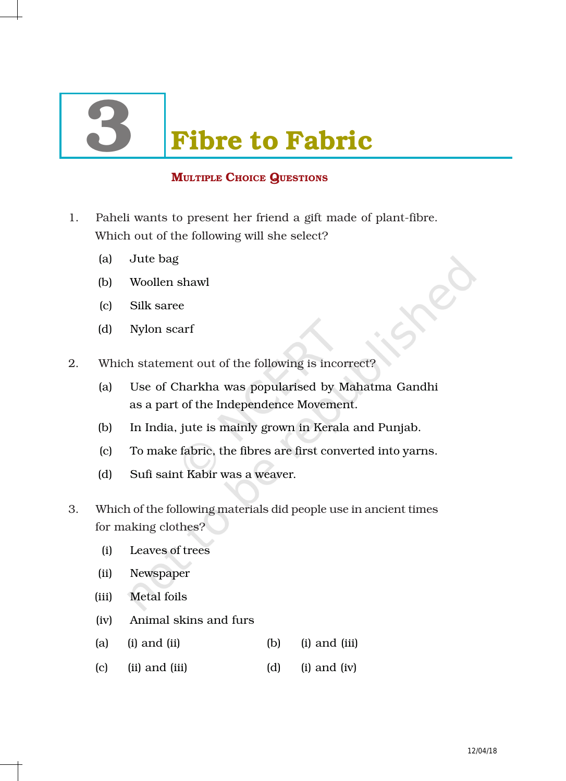# **Fibre to Fabric**

# **MULTIPLE CHOICE QUESTIONS**

- 1. Paheli wants to present her friend a gift made of plant-fibre. Which out of the following will she select?
	- (a) Jute bag
	- (b) Woollen shawl
	- (c) Silk saree
	- (d) Nylon scarf
- 2. Which statement out of the following is incorrect?
	- (a) Use of Charkha was popularised by Mahatma Gandhi as a part of the Independence Movement.
	- (b) In India, jute is mainly grown in Kerala and Punjab.
	- (c) To make fabric, the fibres are first converted into yarns.
	- (d) Sufi saint Kabir was a weaver.
- 3. Which of the following materials did people use in ancient times for making clothes?
	- (i) Leaves of trees
	- (ii) Newspaper
	- (iii) Metal foils
	- (iv) Animal skins and furs
	- (a) (i) and (ii) (b) (i) and (iii)
	- (c) (ii) and (iii)  $(d)$  (i) and (iv)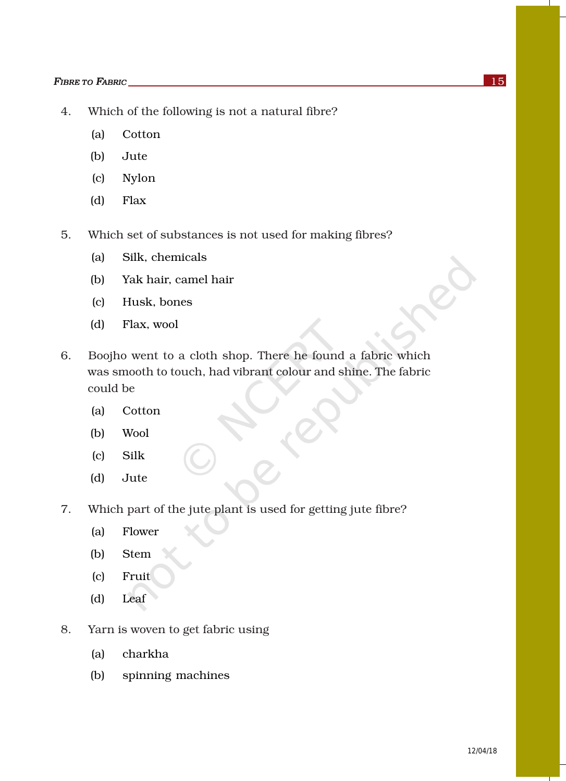- 4. Which of the following is not a natural fibre?
	- (a) Cotton
	- (b) Jute
	- (c) Nylon
	- (d) Flax
- 5. Which set of substances is not used for making fibres?
	- (a) Silk, chemicals
	- (b) Yak hair, camel hair
	- (c) Husk, bones
	- (d) Flax, wool
- 6. Boojho went to a cloth shop. There he found a fabric which was smooth to touch, had vibrant colour and shine. The fabric could be
	- (a) Cotton
	- (b) Wool
	- (c) Silk
	- (d) Jute
- 7. Which part of the jute plant is used for getting jute fibre?
	- (a) Flower
	- (b) Stem
	- (c) Fruit
	- (d) Leaf
- 8. Yarn is woven to get fabric using
	- (a) charkha
	- (b) spinning machines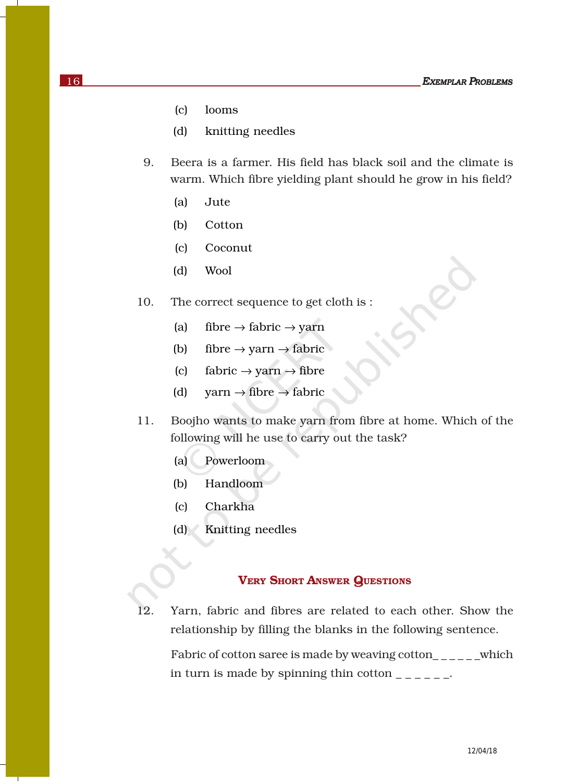- (c) looms
- (d) knitting needles
- 9. Beera is a farmer. His field has black soil and the climate is warm. Which fibre yielding plant should he grow in his field?
	- (a) Jute
	- (b) Cotton
	- (c) Coconut
	- (d) Wool
- 10. The correct sequence to get cloth is :
	- (a) fibre  $\rightarrow$  fabric  $\rightarrow$  yarn
	- (b) fibre  $\rightarrow$  yarn  $\rightarrow$  fabric
	- (c) fabric  $\rightarrow$  yarn  $\rightarrow$  fibre
	- (d) yarn  $\rightarrow$  fibre  $\rightarrow$  fabric
- 11. Boojho wants to make yarn from fibre at home. Which of the following will he use to carry out the task?
	- (a) Powerloom
	- (b) Handloom
	- (c) Charkha
	- (d) Knitting needles

### VERY SHORT ANSWER QUESTIONS

12. Yarn, fabric and fibres are related to each other. Show the relationship by filling the blanks in the following sentence.

Fabric of cotton saree is made by weaving cotton\_\_\_\_\_\_which in turn is made by spinning thin cotton  $\frac{1}{1-\frac{1}{1-\frac{1}{1-\frac{1}{1-\frac{1}{1-\frac{1}{1-\frac{1}{1-\frac{1}{1-\frac{1}{1-\frac{1}{1-\frac{1}{1-\frac{1}{1-\frac{1}{1-\frac{1}{1-\frac{1}{1-\frac{1}{1-\frac{1}{1-\frac{1}{1-\frac{1}{1-\frac{1}{1-\frac{1}{1-\frac{1}{1-\frac{1}{1-\frac{1}{1-\frac{1}{1-\frac{1}{1-\frac{1}{1-\frac{1}{1-\frac{1}{1-\frac{1}{1$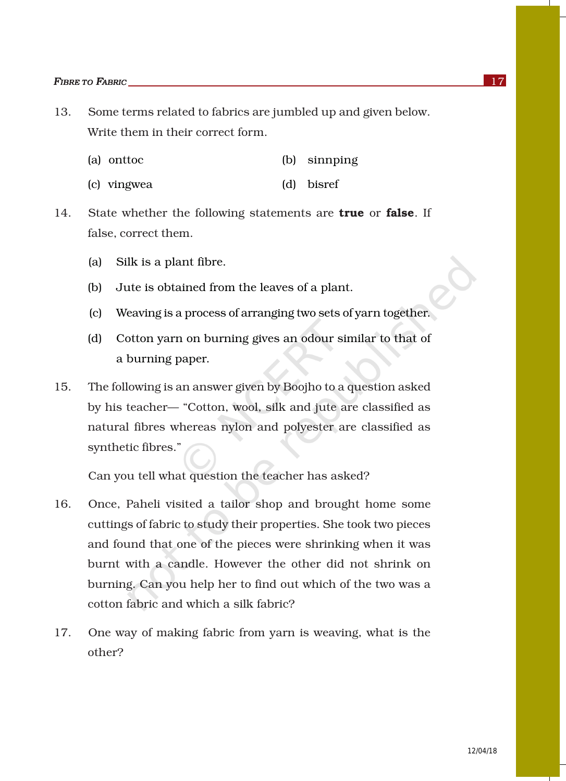- 13. Some terms related to fabrics are jumbled up and given below. Write them in their correct form.
	- (a) onttoc (b) sinnping
	- (c) vingwea (d) bisref
- 14. State whether the following statements are **true** or **false**. If false, correct them.
	- (a) Silk is a plant fibre.
	- (b) Jute is obtained from the leaves of a plant.
	- (c) Weaving is a process of arranging two sets of yarn together.
	- (d) Cotton yarn on burning gives an odour similar to that of a burning paper.
- 15. The following is an answer given by Boojho to a question asked by his teacher— "Cotton, wool, silk and jute are classified as natural fibres whereas nylon and polyester are classified as synthetic fibres."

Can you tell what question the teacher has asked?

- 16. Once, Paheli visited a tailor shop and brought home some cuttings of fabric to study their properties. She took two pieces and found that one of the pieces were shrinking when it was burnt with a candle. However the other did not shrink on burning. Can you help her to find out which of the two was a cotton fabric and which a silk fabric?
- 17. One way of making fabric from yarn is weaving, what is the other?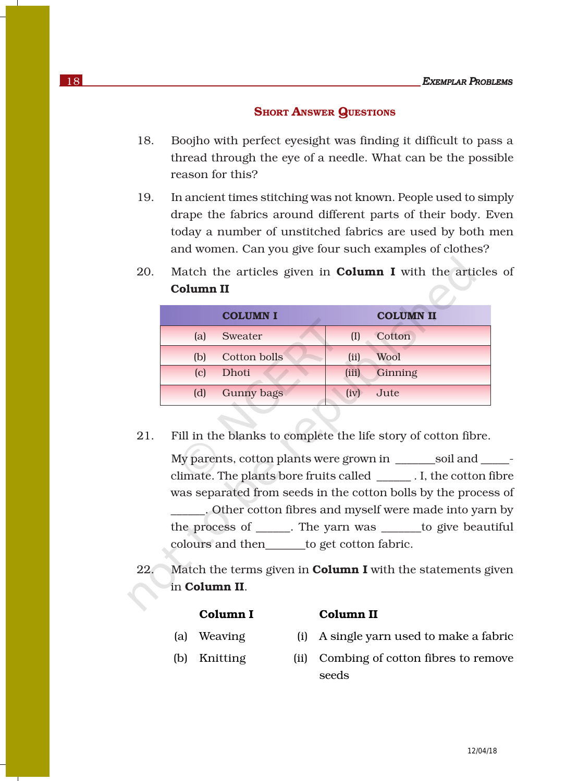#### **SHORT ANSWER QUESTIONS**

- 18. Boojho with perfect eyesight was finding it difficult to pass a thread through the eye of a needle. What can be the possible reason for this?
- 19. In ancient times stitching was not known. People used to simply drape the fabrics around different parts of their body. Even today a number of unstitched fabrics are used by both men and women. Can you give four such examples of clothes?
- 20. Match the articles given in **Column I** with the articles of Column II

|     | <b>COLUMN I</b>     |       | <b>COLUMN II</b> |
|-----|---------------------|-------|------------------|
| (a) | Sweater             | (I)   | Cotton           |
| (b) | <b>Cotton bolls</b> | (ii)  | Wool             |
| (c) | Dhoti               | (iii) | Ginning          |
| (d) | <b>Gunny bags</b>   | (iv)  | Jute             |

21. Fill in the blanks to complete the life story of cotton fibre.

My parents, cotton plants were grown in \_\_\_\_\_\_\_soil and \_\_\_\_\_ climate. The plants bore fruits called \_\_\_\_\_\_ . I, the cotton fibre was separated from seeds in the cotton bolls by the process of \_\_\_\_\_\_. Other cotton fibres and myself were made into yarn by the process of \_\_\_\_\_\_. The yarn was \_\_\_\_\_\_\_to give beautiful colours and then\_\_\_\_\_\_\_to get cotton fabric.

22. Match the terms given in **Column I** with the statements given in Column II.

#### Column I Column II

- 
- 
- (a) Weaving (i) A single yarn used to make a fabric
- (b) Knitting (ii) Combing of cotton fibres to remove seeds